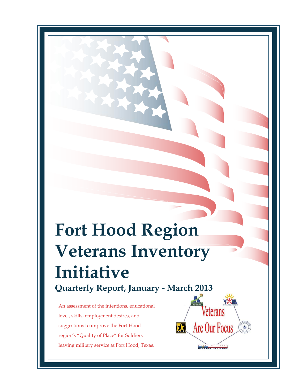# **Fort Hood Region Veterans Inventory Initiative Quarterly Report, January - March 2013**

An assessment of the intentions, educational level, skills, employment desires, and suggestions to improve the Fort Hood region's "Quality of Place" for Soldiers leaving military service at Fort Hood, Texas.

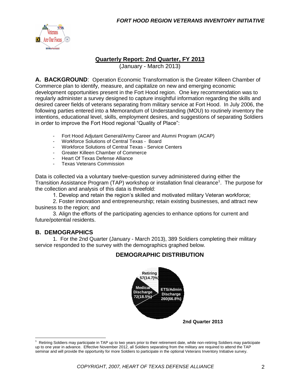

#### **Quarterly Report: 2nd Quarter, FY 2013**

(January - March 2013)

**A. BACKGROUND**: Operation Economic Transformation is the Greater Killeen Chamber of Commerce plan to identify, measure, and capitalize on new and emerging economic development opportunities present in the Fort Hood region. One key recommendation was to regularly administer a survey designed to capture insightful information regarding the skills and desired career fields of veterans separating from military service at Fort Hood. In July 2006, the following parties entered into a Memorandum of Understanding (MOU) to routinely inventory the intentions, educational level, skills, employment desires, and suggestions of separating Soldiers in order to improve the Fort Hood regional "Quality of Place":

- Fort Hood Adjutant General/Army Career and Alumni Program (ACAP)
- Workforce Solutions of Central Texas Board<br>- Workforce Solutions of Central Texas Service
- Workforce Solutions of Central Texas Service Centers
- Greater Killeen Chamber of Commerce
- Heart Of Texas Defense Alliance
- Texas Veterans Commission

Data is collected via a voluntary twelve-question survey administered during either the Transition Assistance Program (TAP) workshop or installation final clearance<sup>1</sup>. The purpose for the collection and analysis of this data is threefold:

1. Develop and retain the region's skilled and motivated military Veteran workforce;

2. Foster innovation and entrepreneurship; retain existing businesses, and attract new business to the region; and

3. Align the efforts of the participating agencies to enhance options for current and future/potential residents.

#### **B. DEMOGRAPHICS**

 $\overline{a}$ 

1. For the 2nd Quarter (January - March 2013), 389 Soldiers completing their military service responded to the survey with the demographics graphed below.

#### **DEMOGRAPHIC DISTRIBUTION**



<sup>1</sup> Retiring Soldiers may participate in TAP up to two years prior to their retirement date, while non-retiring Soldiers may participate up to one year in advance. Effective November 2012, all Soldiers separating from the military are required to attend the TAP seminar and will provide the opportunity for more Soldiers to participate in the optional Veterans Inventory Initiative survey.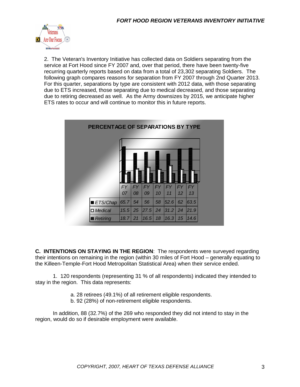

2. The Veteran's Inventory Initiative has collected data on Soldiers separating from the service at Fort Hood since FY 2007 and, over that period, there have been twenty-five recurring quarterly reports based on data from a total of 23,302 separating Soldiers. The following graph compares reasons for separation from FY 2007 through 2nd Quarter 2013. For this quarter, separations by type are consistent with 2012 data, with those separating due to ETS increased, those separating due to medical decreased, and those separating due to retiring decreased as well. As the Army downsizes by 2015, we anticipate higher ETS rates to occur and will continue to monitor this in future reports.



**C. INTENTIONS ON STAYING IN THE REGION**: The respondents were surveyed regarding their intentions on remaining in the region (within 30 miles of Fort Hood – generally equating to the Killeen-Temple-Fort Hood Metropolitan Statistical Area) when their service ended.

1. 120 respondents (representing 31 % of all respondents) indicated they intended to stay in the region. This data represents:

- a. 28 retirees (49.1%) of all retirement eligible respondents.
- b. 92 (28%) of non-retirement eligible respondents.

In addition, 88 (32.7%) of the 269 who responded they did not intend to stay in the region, would do so if desirable employment were available.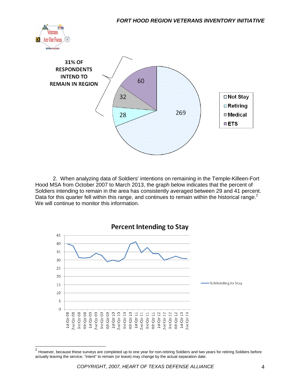



2. When analyzing data of Soldiers' intentions on remaining in the Temple-Killeen-Fort Hood MSA from October 2007 to March 2013, the graph below indicates that the percent of Soldiers intending to remain in the area has consistently averaged between 29 and 41 percent. Data for this quarter fell within this range, and continues to remain within the historical range. $2$ We will continue to monitor this information.



 2 However, because these surveys are completed up to one year for non-retiring Soldiers and two years for retiring Soldiers before actually leaving the service, "intent" to remain (or leave) may change by the actual separation date.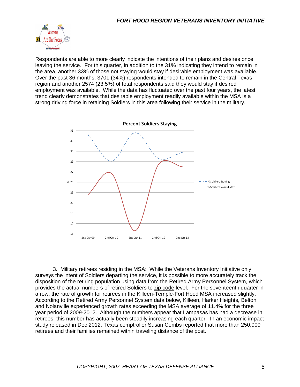

Respondents are able to more clearly indicate the intentions of their plans and desires once leaving the service. For this quarter, in addition to the 31% indicating they intend to remain in the area, another 33% of those not staying would stay if desirable employment was available. Over the past 36 months, 3701 (34%) respondents intended to remain in the Central Texas region and another 2574 (23.5%) of total respondents said they would stay if desired employment was available. While the data has fluctuated over the past four years, the latest trend clearly demonstrates that desirable employment readily available within the MSA is a strong driving force in retaining Soldiers in this area following their service in the military.



3. Military retirees residing in the MSA: While the Veterans Inventory Initiative only surveys the intent of Soldiers departing the service, it is possible to more accurately track the disposition of the retiring population using data from the Retired Army Personnel System, which provides the actual numbers of retired Soldiers to zip code level. For the seventeenth quarter in a row, the rate of growth for retirees in the Killeen-Temple-Fort Hood MSA increased slightly. According to the Retired Army Personnel System data below, Killeen, Harker Heights, Belton, and Nolanville experienced growth rates exceeding the MSA average of 11.4% for the three year period of 2009-2012. Although the numbers appear that Lampasas has had a decrease in retirees, this number has actually been steadily increasing each quarter. In an economic impact study released in Dec 2012, Texas comptroller Susan Combs reported that more than 250,000 retirees and their families remained within traveling distance of the post.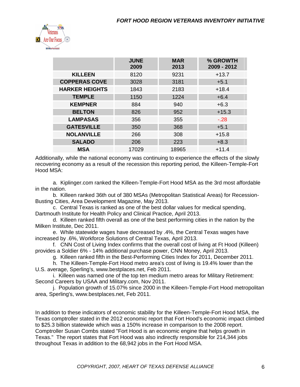

|                       | <b>JUNE</b><br>2009 | <b>MAR</b><br>2013 | % GROWTH<br>2009 - 2012 |
|-----------------------|---------------------|--------------------|-------------------------|
| <b>KILLEEN</b>        | 8120                | 9231               | $+13.7$                 |
| <b>COPPERAS COVE</b>  | 3028                | 3181               | $+5.1$                  |
| <b>HARKER HEIGHTS</b> | 1843                | 2183               | $+18.4$                 |
| <b>TEMPLE</b>         | 1150                | 1224               | $+6.4$                  |
| <b>KEMPNER</b>        | 884                 | 940                | $+6.3$                  |
| <b>BELTON</b>         | 826                 | 952                | $+15.3$                 |
| <b>LAMPASAS</b>       | 356                 | 355                | $-.28$                  |
| <b>GATESVILLE</b>     | 350                 | 368                | $+5.1$                  |
| <b>NOLANVILLE</b>     | 266                 | 308                | $+15.8$                 |
| <b>SALADO</b>         | 206                 | 223                | $+8.3$                  |
| <b>MSA</b>            | 17029               | 18965              | $+11.4$                 |

Additionally, while the national economy was continuing to experience the effects of the slowly recovering economy as a result of the recession this reporting period, the Killeen-Temple-Fort Hood MSA:

a. Kiplinger.com ranked the Killeen-Temple-Fort Hood MSA as the 3rd most affordable in the nation.

b. Killeen ranked 36th out of 380 MSAs (Metropolitan Statistical Areas) for Recession-Busting Cities, Area Development Magazine, May 2013.

c. Central Texas is ranked as one of the best dollar values for medical spending, Dartmouth Institute for Health Policy and Clinical Practice, April 2013.

d. Killeen ranked fifth overall as one of the best performing cities in the nation by the Milken Institute, Dec 2011.

e. While statewide wages have decreased by .4%, the Central Texas wages have increased by .6%, Workforce Solutions of Central Texas, April 2013.

f. CNN Cost of Living Index confirms that the overall cost of living at Ft Hood (Killeen) provides a Soldier 6% - 14% additional purchase power, CNN Money, April 2013.

g. Killeen ranked fifth in the Best-Performing Cities Index for 2011, December 2011.

h. The Killeen-Temple-Fort Hood metro area's cost of living is 19.4% lower than the U.S. average, Sperling's, www.bestplaces.net, Feb 2011.

i. Killeen was named one of the top ten medium metro areas for Military Retirement: Second Careers by USAA and Military.com, Nov 2011.

j. Population growth of 15.07% since 2000 in the Killeen-Temple-Fort Hood metropolitan area, Sperling's, www.bestplaces.net, Feb 2011.

In addition to these indicators of economic stability for the Killeen-Temple-Fort Hood MSA, the Texas comptroller stated in the 2012 economic report that Fort Hood's economic impact climbed to \$25.3 billion statewide which was a 150% increase in comparison to the 2008 report. Comptroller Susan Combs stated "Fort Hood is an economic engine that helps growth in Texas." The report states that Fort Hood was also indirectly responsible for 214,344 jobs throughout Texas in addition to the 68,942 jobs in the Fort Hood MSA.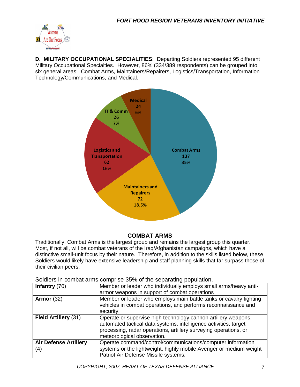

**D. MILITARY OCCUPATIONAL SPECIALITIES**: Departing Soldiers represented 95 different Military Occupational Specialties. However, 86% (334/389 respondents) can be grouped into six general areas: Combat Arms, Maintainers/Repairers, Logistics/Transportation, Information Technology/Communications, and Medical.



### **COMBAT ARMS**

Traditionally, Combat Arms is the largest group and remains the largest group this quarter. Most, if not all, will be combat veterans of the Iraq/Afghanistan campaigns, which have a distinctive small-unit focus by their nature. Therefore, in addition to the skills listed below, these Soldiers would likely have extensive leadership and staff planning skills that far surpass those of their civilian peers.

Soldiers in combat arms comprise 35% of the separating population.

| Infantry $(70)$              | Member or leader who individually employs small arms/heavy anti-   |  |  |
|------------------------------|--------------------------------------------------------------------|--|--|
|                              | armor weapons in support of combat operations                      |  |  |
| Armor $(32)$                 | Member or leader who employs main battle tanks or cavalry fighting |  |  |
|                              | vehicles in combat operations, and performs reconnaissance and     |  |  |
|                              | security.                                                          |  |  |
| Field Artillery (31)         | Operate or supervise high technology cannon artillery weapons,     |  |  |
|                              | automated tactical data systems, intelligence activities, target   |  |  |
|                              | processing, radar operations, artillery surveying operations, or   |  |  |
|                              | meteorological observation.                                        |  |  |
| <b>Air Defense Artillery</b> | Operate command/control/communications/computer information        |  |  |
| (4)                          | systems or the lightweight, highly mobile Avenger or medium weight |  |  |
|                              | Patriot Air Defense Missile systems.                               |  |  |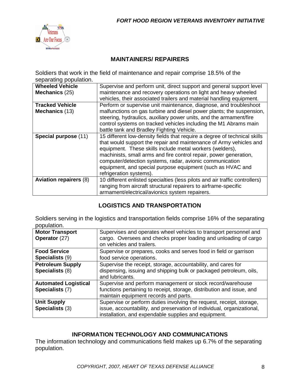

#### **MAINTAINERS/ REPAIRERS**

Soldiers that work in the field of maintenance and repair comprise 18.5% of the separating population.

| <b>Wheeled Vehicle</b>        | Supervise and perform unit, direct support and general support level        |  |  |  |
|-------------------------------|-----------------------------------------------------------------------------|--|--|--|
| Mechanics (25)                | maintenance and recovery operations on light and heavy wheeled              |  |  |  |
|                               | vehicles, their associated trailers and material handling equipment.        |  |  |  |
| <b>Tracked Vehicle</b>        | Perform or supervise unit maintenance, diagnose, and troubleshoot           |  |  |  |
| Mechanics (13)                | malfunctions on gas turbine and diesel power plants; the suspension,        |  |  |  |
|                               | steering, hydraulics, auxiliary power units, and the armament/fire          |  |  |  |
|                               | control systems on tracked vehicles including the M1 Abrams main            |  |  |  |
|                               | battle tank and Bradley Fighting Vehicle.                                   |  |  |  |
| Special purpose (11)          | 15 different low-density fields that require a degree of technical skills   |  |  |  |
|                               | that would support the repair and maintenance of Army vehicles and          |  |  |  |
|                               | equipment. These skills include metal workers (welders),                    |  |  |  |
|                               | machinists, small arms and fire control repair, power generation,           |  |  |  |
|                               | computer/detection systems, radar, avionic communication                    |  |  |  |
|                               | equipment, and special purpose equipment (such as HVAC and                  |  |  |  |
|                               | refrigeration systems).                                                     |  |  |  |
| <b>Aviation repairers (8)</b> | 10 different enlisted specialties (less pilots and air traffic controllers) |  |  |  |
|                               | ranging from aircraft structural repairers to airframe-specific             |  |  |  |
|                               | armament/electrical/avionics system repairers.                              |  |  |  |

### **LOGISTICS AND TRANSPORTATION**

Soldiers serving in the logistics and transportation fields comprise 16% of the separating population.

| <b>Motor Transport</b><br>Operator (27) | Supervises and operates wheel vehicles to transport personnel and<br>cargo. Oversees and checks proper loading and unloading of cargo<br>on vehicles and trailers. |
|-----------------------------------------|--------------------------------------------------------------------------------------------------------------------------------------------------------------------|
| <b>Food Service</b>                     | Supervise or prepares, cooks and serves food in field or garrison                                                                                                  |
| Specialists (9)                         | food service operations.                                                                                                                                           |
| <b>Petroleum Supply</b>                 | Supervise the receipt, storage, accountability, and cares for                                                                                                      |
| Specialists (8)                         | dispensing, issuing and shipping bulk or packaged petroleum, oils,<br>and lubricants.                                                                              |
| <b>Automated Logistical</b>             | Supervise and perform management or stock record/warehouse                                                                                                         |
| Specialists (7)                         | functions pertaining to receipt, storage, distribution and issue, and                                                                                              |
|                                         | maintain equipment records and parts.                                                                                                                              |
| <b>Unit Supply</b>                      | Supervise or perform duties involving the request, receipt, storage,                                                                                               |
| Specialists (3)                         | issue, accountability, and preservation of individual, organizational,                                                                                             |
|                                         | installation, and expendable supplies and equipment.                                                                                                               |

#### **INFORMATION TECHNOLOGY AND COMMUNICATIONS**

The information technology and communications field makes up 6.7% of the separating population.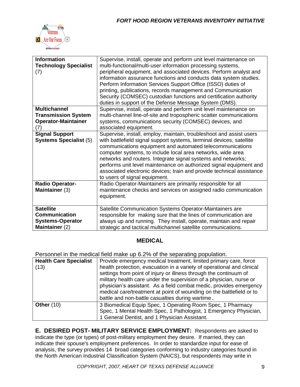

| <b>Information</b><br><b>Technology Specialist</b><br>(7) | Supervise, install, operate and perform unit level maintenance on<br>multi-functional/multi-user information processing systems,<br>peripheral equipment, and associated devices. Perform analyst and<br>information assurance functions and conducts data system studies.<br>Perform Information Services Support Office (ISSO) duties of<br>printing, publications, records management and Communication<br>Security (COMSEC) custodian functions and certification authority<br>duties in support of the Defense Message System (DMS). |
|-----------------------------------------------------------|-------------------------------------------------------------------------------------------------------------------------------------------------------------------------------------------------------------------------------------------------------------------------------------------------------------------------------------------------------------------------------------------------------------------------------------------------------------------------------------------------------------------------------------------|
| <b>Multichannel</b>                                       | Supervise, install, operate and perform unit level maintenance on                                                                                                                                                                                                                                                                                                                                                                                                                                                                         |
| <b>Transmission System</b>                                | multi-channel line-of-site and tropospheric scatter communications                                                                                                                                                                                                                                                                                                                                                                                                                                                                        |
| <b>Operator-Maintainer</b>                                | systems, communications security (COMSEC) devices, and                                                                                                                                                                                                                                                                                                                                                                                                                                                                                    |
| $\left( 7\right)$                                         | associated equipment.                                                                                                                                                                                                                                                                                                                                                                                                                                                                                                                     |
|                                                           |                                                                                                                                                                                                                                                                                                                                                                                                                                                                                                                                           |
| <b>Signal Support</b>                                     | Supervise, install, employ, maintain, troubleshoot and assist users                                                                                                                                                                                                                                                                                                                                                                                                                                                                       |
| <b>Systems Specialist (5)</b>                             | with battlefield signal support systems, terminal devices, satellite<br>communications equipment and automated telecommunications<br>computer systems, to include local area networks, wide area<br>networks and routers. Integrate signal systems and networks;<br>performs unit level maintenance on authorized signal equipment and<br>associated electronic devices; train and provide technical assistance<br>to users of signal equipment.                                                                                          |
| <b>Radio Operator-</b>                                    | Radio Operator-Maintainers are primarily responsible for all                                                                                                                                                                                                                                                                                                                                                                                                                                                                              |
| Maintainer (3)                                            | maintenance checks and services on assigned radio communication<br>equipment.                                                                                                                                                                                                                                                                                                                                                                                                                                                             |
| <b>Satellite</b>                                          | Satellite Communication Systems Operator-Maintainers are                                                                                                                                                                                                                                                                                                                                                                                                                                                                                  |
| <b>Communication</b>                                      | responsible for making sure that the lines of communication are                                                                                                                                                                                                                                                                                                                                                                                                                                                                           |
|                                                           |                                                                                                                                                                                                                                                                                                                                                                                                                                                                                                                                           |
| <b>Systems-Operator</b>                                   | always up and running. They install, operate, maintain and repair                                                                                                                                                                                                                                                                                                                                                                                                                                                                         |
| Maintainer (2)                                            | strategic and tactical multichannel satellite communications.                                                                                                                                                                                                                                                                                                                                                                                                                                                                             |

#### **MEDICAL**

Personnel in the medical field make up 6.2% of the separating population.

| Production in the medical noid mane ap oil to or the coparating population. |                                                                        |  |  |
|-----------------------------------------------------------------------------|------------------------------------------------------------------------|--|--|
| <b>Health Care Specialist</b>                                               | Provide emergency medical treatment, limited primary care, force       |  |  |
| (13)                                                                        | health protection, evacuation in a variety of operational and clinical |  |  |
|                                                                             | settings from point of injury or illness through the continuum of      |  |  |
|                                                                             | military health care under the supervision of a physician, nurse or    |  |  |
|                                                                             | physician's assistant. As a field combat medic, provides emergency     |  |  |
|                                                                             | medical care/treatment at point of wounding on the battlefield or to   |  |  |
|                                                                             | battle and non-battle casualties during wartime.                       |  |  |
| Other $(10)$                                                                | 3 Biomedical Equip Spec, 1 Operating Room Spec, 1 Pharmacy             |  |  |
|                                                                             | Spec, 1 Mental Health Spec, 1 Pathologist, 1 Emergency Physician,      |  |  |
|                                                                             | 1 General Dentist, and 1 Physician Assistant.                          |  |  |

**E. DESIRED POST- MILITARY SERVICE EMPLOYMENT:** Respondents are asked to indicate the type (or types) of post-military employment they desire. If married, they can indicate their spouse's employment preferences. In order to standardize input for ease of analysis, the survey provides 14 broad categories conforming to industry categories found in the North American Industrial Classification System (NAICS), but respondents may write in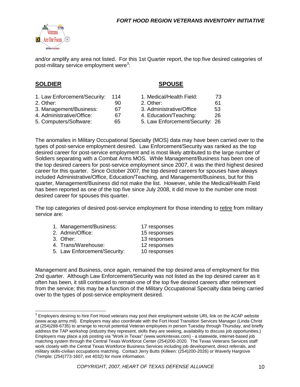

and/or amplify any area not listed. For this 1st Quarter report, the top five desired categories of post-military service employment were<sup>3</sup>:

#### **SOLDIER SPOUSE**

- 1. Law Enforcement/Security: 114 1. Medical/Health Field: 73
- 
- 
- 
- 
- 2. Other: 90 2. Other: 61 3. Management/Business: 67 3. Administrative/Office 53
- 4. Administrative/Office: 67 4. Education/Teaching: 26
- 5. Computers/Software: 65 65 5. Law Enforcement/Security: 26

The anomalies in Military Occupational Specialty (MOS) data may have been carried over to the types of post-service employment desired. Law Enforcement/Security was ranked as the top desired career for post-service employment and is most likely attributed to the large number of Soldiers separating with a Combat Arms MOS. While Management/Business has been one of the top desired careers for post-service employment since 2007, it was the third highest desired career for this quarter. Since October 2007, the top desired careers for spouses have always included Administrative/Office, Education/Teaching, and Management/Business, but for this quarter, Management/Business did not make the list. However, while the Medical/Health Field has been reported as one of the top five since July 2008, it did move to the number one most desired career for spouses this quarter.

The top categories of desired post-service employment for those intending to retire from military service are:

| 1. Management/Business:      | 17 responses |
|------------------------------|--------------|
| 2. Admin/Office:             | 15 responses |
| 3. Other:                    | 13 responses |
| 4. Trans/Warehouse:          | 12 responses |
| 5. Law Enforcement/Security: | 10 responses |
|                              |              |

Management and Business, once again, remained the top desired area of employment for this 2nd quarter. Although Law Enforcement/Security was not listed as the top desired career as it often has been, it still continued to remain one of the top five desired careers after retirement from the service; this may be a function of the Military Occupational Specialty data being carried over to the types of post-service employment desired.

<sup>&</sup>lt;u>3</u><br><sup>3</sup> Employers desiring to hire Fort Hood veterans may post their employment website URL link on the ACAP website (www.acap.army.mil). Employers may also coordinate with the Fort Hood Transition Services Manager (Linda Christ at (254)288-6735) to arrange to recruit potential Veteran employees in person Tuesday through Thursday, and briefly address the TAP workshop (industry they represent, skills they are seeking, availability to discuss job opportunities.) Employers may place a job posting via "Work in Texas" (www.workintexas.com) - a statewide, internet-based job matching system through the Central Texas Workforce Center (254)200-2020. The Texas Veterans Services staff work closely with the Central Texas Workforce Business Services including job development, direct referrals, and military skills-civilian occupations matching. Contact Jerry Butts (Killeen: (254)200-2026) or Waverly Hargrove (Temple: (254)773-1607, ext 4032) for more information.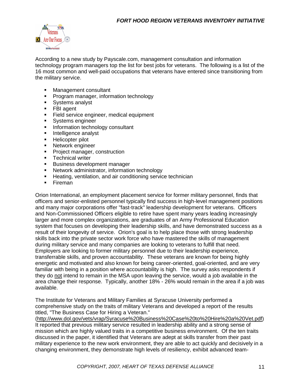

According to a new study by Payscale.com, management consultation and information technology program managers top the list for best jobs for veterans. The following is a list of the 16 most common and well-paid occupations that veterans have entered since transitioning from the military service.

- **Nanagement consultant**
- **Program manager, information technology**
- **Systems analyst**
- FBI agent
- **Field service engineer, medical equipment**
- **Systems engineer**
- **Information technology consultant**
- **Intelligence analyst**
- **Helicopter pilot**
- **Network engineer**
- **Project manager, construction**
- **Technical writer**
- **Business development manager**
- **Network administrator, information technology**
- **Heating, ventilation, and air conditioning service technician**
- **Fireman**

Orion International, an employment placement service for former military personnel, finds that officers and senior-enlisted personnel typically find success in high-level management positions and many major corporations offer "fast-track" leadership development for veterans. Officers and Non-Commissioned Officers eligible to retire have spent many years leading increasingly larger and more complex organizations, are graduates of an Army Professional Education system that focuses on developing their leadership skills, and have demonstrated success as a result of their longevity of service. Orion's goal is to help place those with strong leadership skills back into the private sector work force who have mastered the skills of management during military service and many companies are looking to veterans to fulfill that need. Employers are looking to former military personnel due to their leadership experience, transferrable skills, and proven accountability. These veterans are known for being highly energetic and motivated and also known for being career-oriented, goal-oriented, and are very familiar with being in a position where accountability is high. The survey asks respondents if they do not intend to remain in the MSA upon leaving the service, would a job available in the area change their response. Typically, another 18% - 26% would remain in the area if a job was available.

The Institute for Veterans and Military Families at Syracuse University performed a comprehensive study on the traits of military Veterans and developed a report of the results titled, "The Business Case for Hiring a Veteran."

[\(http://www.dol.gov/vets/vrap/Syracuse%20Business%20Case%20to%20Hire%20a%20Vet.pdf\)](http://www.dol.gov/vets/vrap/Syracuse%20Business%20Case%20to%20Hire%20a%20Vet.pdf) It reported that previous military service resulted in leadership ability and a strong sense of mission which are highly valued traits in a competitive business environment. Of the ten traits discussed in the paper, it identified that Veterans are adept at skills transfer from their past military experience to the new work environment, they are able to act quickly and decisively in a changing environment, they demonstrate high levels of resiliency, exhibit advanced team-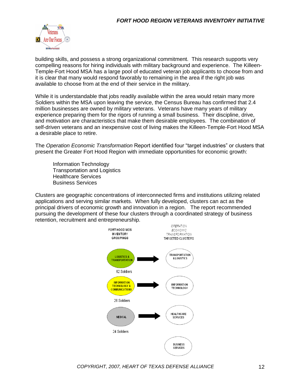

building skills, and possess a strong organizational commitment. This research supports very compelling reasons for hiring individuals with military background and experience. The Killeen-Temple-Fort Hood MSA has a large pool of educated veteran job applicants to choose from and it is clear that many would respond favorably to remaining in the area if the right job was available to choose from at the end of their service in the military.

While it is understandable that jobs readily available within the area would retain many more Soldiers within the MSA upon leaving the service, the Census Bureau has confirmed that 2.4 million businesses are owned by military veterans. Veterans have many years of military experience preparing them for the rigors of running a small business. Their discipline, drive, and motivation are characteristics that make them desirable employees. The combination of self-driven veterans and an inexpensive cost of living makes the Killeen-Temple-Fort Hood MSA a desirable place to retire.

The *Operation Economic Transformation* Report identified four "target industries" or clusters that present the Greater Fort Hood Region with immediate opportunities for economic growth:

Information Technology Transportation and Logistics Healthcare Services Business Services

Clusters are geographic concentrations of interconnected firms and institutions utilizing related applications and serving similar markets. When fully developed, clusters can act as the principal drivers of economic growth and innovation in a region. The report recommended pursuing the development of these four clusters through a coordinated strategy of business retention, recruitment and entrepreneurship.

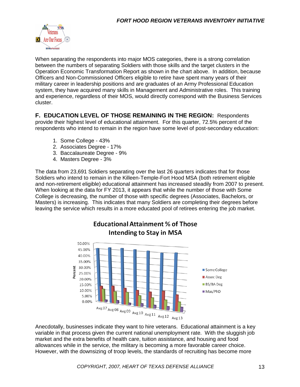

When separating the respondents into major MOS categories, there is a strong correlation between the numbers of separating Soldiers with those skills and the target clusters in the Operation Economic Transformation Report as shown in the chart above. In addition, because Officers and Non-Commissioned Officers eligible to retire have spent many years of their military career in leadership positions and are graduates of an Army Professional Education system, they have acquired many skills in Management and Administrative roles. This training and experience, regardless of their MOS, would directly correspond with the Business Services cluster.

**F. EDUCATION LEVEL OF THOSE REMAINING IN THE REGION:** Respondents provide their highest level of educational attainment. For this quarter, 72.5% percent of the respondents who intend to remain in the region have some level of post-secondary education:

- 1. Some College 43%
- 2. Associates Degree 17%
- 3. Baccalaureate Degree 9%
- 4. Masters Degree 3%

The data from 23,691 Soldiers separating over the last 26 quarters indicates that for those Soldiers who intend to remain in the Killeen-Temple-Fort Hood MSA (both retirement eligible and non-retirement eligible) educational attainment has increased steadily from 2007 to present. When looking at the data for FY 2013, it appears that while the number of those with Some College is decreasing, the number of those with specific degrees (Associates, Bachelors, or Masters) is increasing. This indicates that many Soldiers are completing their degrees before leaving the service which results in a more educated pool of retirees entering the job market.

**Educational Attainment % of Those** 



Anecdotally, businesses indicate they want to hire veterans. Educational attainment is a key variable in that process given the current national unemployment rate. With the sluggish job market and the extra benefits of health care, tuition assistance, and housing and food allowances while in the service, the military is becoming a more favorable career choice. However, with the downsizing of troop levels, the standards of recruiting has become more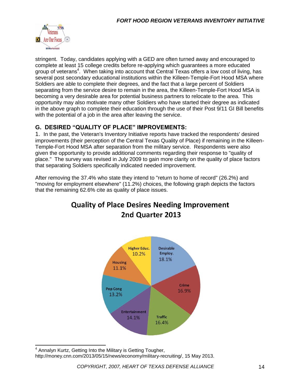

stringent. Today, candidates applying with a GED are often turned away and encouraged to complete at least 15 college credits before re-applying which guarantees a more educated group of veterans<sup>4</sup>. When taking into account that Central Texas offers a low cost of living, has several post secondary educational institutions within the Killeen-Temple-Fort Hood MSA where Soldiers are able to complete their degrees, and the fact that a large percent of Soldiers separating from the service desire to remain in the area, the Killeen-Temple-Fort Hood MSA is becoming a very desirable area for potential business partners to relocate to the area. This opportunity may also motivate many other Soldiers who have started their degree as indicated in the above graph to complete their education through the use of their Post 9/11 GI Bill benefits with the potential of a job in the area after leaving the service.

### **G. DESIRED "QUALITY OF PLACE" IMPROVEMENTS:**

1. In the past, the Veteran's Inventory Initiative reports have tracked the respondents' desired improvements (their perception of the Central Texas Quality of Place) if remaining in the Killeen-Temple-Fort Hood MSA after separation from the military service. Respondents were also given the opportunity to provide additional comments regarding their response to "quality of place." The survey was revised in July 2009 to gain more clarity on the quality of place factors that separating Soldiers specifically indicated needed improvement.

After removing the 37.4% who state they intend to "return to home of record" (26.2%) and "moving for employment elsewhere" (11.2%) choices, the following graph depicts the factors that the remaining 62.6% cite as quality of place issues.

## **Quality of Place Desires Needing Improvement** 2nd Quarter 2013



 $\overline{\phantom{a}}$ <sup>4</sup> Annalyn Kurtz, Getting Into the Military is Getting Tougher, http://money.cnn.com/2013/05/15/news/economy/military-recruiting/, 15 May 2013.